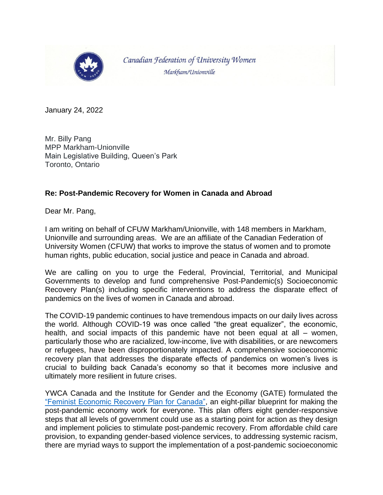

Canadian Federation of University Women Markham/Unionville

January 24, 2022

Mr. Billy Pang MPP Markham-Unionville Main Legislative Building, Queen's Park Toronto, Ontario

## **Re: Post-Pandemic Recovery for Women in Canada and Abroad**

Dear Mr. Pang,

I am writing on behalf of CFUW Markham/Unionville, with 148 members in Markham, Unionville and surrounding areas. We are an affiliate of the Canadian Federation of University Women (CFUW) that works to improve the status of women and to promote human rights, public education, social justice and peace in Canada and abroad.

We are calling on you to urge the Federal, Provincial, Territorial, and Municipal Governments to develop and fund comprehensive Post-Pandemic(s) Socioeconomic Recovery Plan(s) including specific interventions to address the disparate effect of pandemics on the lives of women in Canada and abroad.

The COVID-19 pandemic continues to have tremendous impacts on our daily lives across the world. Although COVID-19 was once called "the great equalizer", the economic, health, and social impacts of this pandemic have not been equal at all – women, particularly those who are racialized, low-income, live with disabilities, or are newcomers or refugees, have been disproportionately impacted. A comprehensive socioeconomic recovery plan that addresses the disparate effects of pandemics on women's lives is crucial to building back Canada's economy so that it becomes more inclusive and ultimately more resilient in future crises.

YWCA Canada and the Institute for Gender and the Economy (GATE) formulated the ["Feminist Economic Recovery Plan for Canada",](https://static1.squarespace.com/static/5f0cd2090f50a31a91b37ff7/t/5f205a15b1b7191d12282bf5/1595955746613/Feminist+Economy+Recovery+Plan+for+Canada.pdf) an eight-pillar blueprint for making the post-pandemic economy work for everyone. This plan offers eight gender-responsive steps that all levels of government could use as a starting point for action as they design and implement policies to stimulate post-pandemic recovery. From affordable child care provision, to expanding gender-based violence services, to addressing systemic racism, there are myriad ways to support the implementation of a post-pandemic socioeconomic